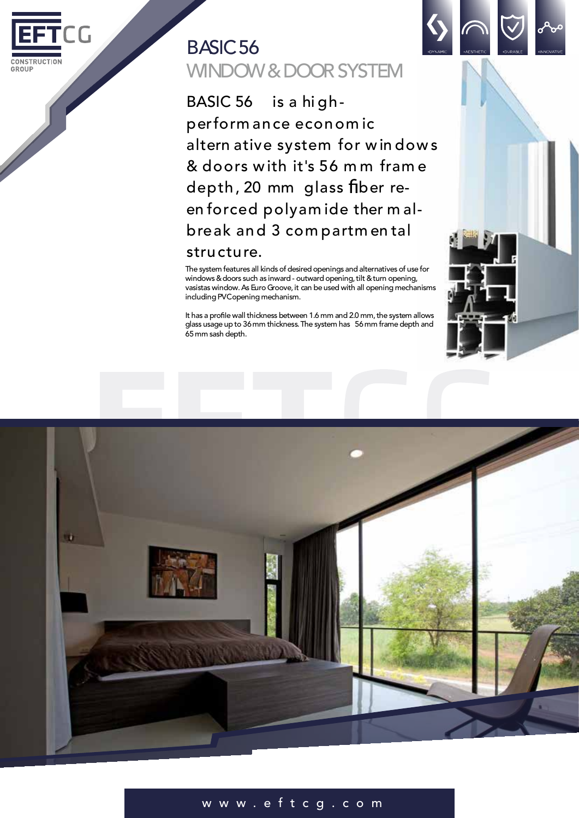

# BASIC56 WINDOW & DOOR SYSTEM

BASIC 56 is a hi ghperform ance econom ic altern ative system for w in dow s & doors with it's 56 m m fram e depth, 20 mm glass fiber reen forced polyam ide ther m albreak and 3 com partm en tal structure.

The system features all kinds of desired openings and alternatives of use for windows & doors such as inward - outward opening, tilt & turn opening, vasistas window.As Euro Groove,it can be used with all opening mechanisms including PVC opening mechanism.

It has a profile wall thickness between 1.6 mm and 2.0 mm, the system allows glass usage up to 36mm thickness.The system has 56mm frame depth and 65mm sash depth.





# w w w . e f t c g . c o m